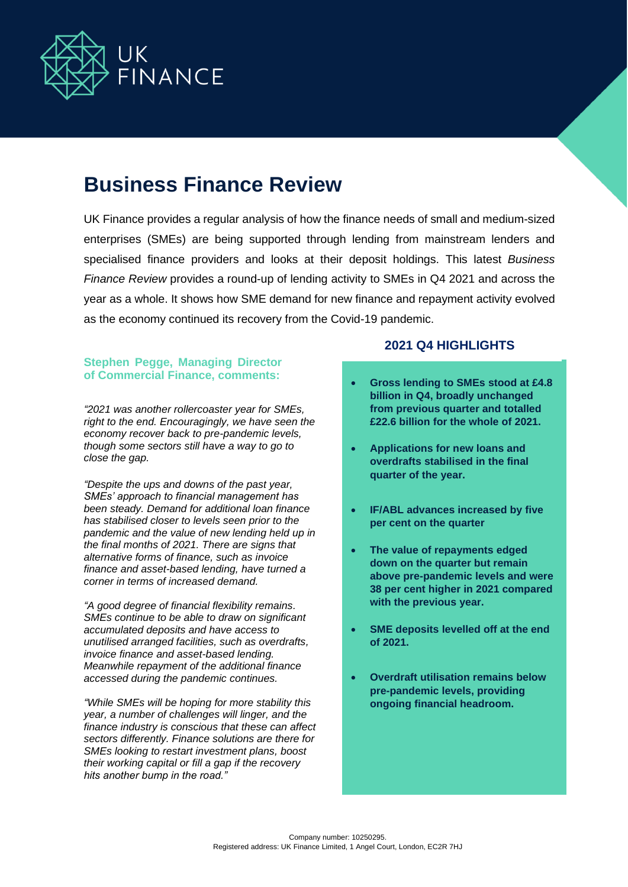

# **Business Finance Review**

UK Finance provides a regular analysis of how the finance needs of small and medium-sized enterprises (SMEs) are being supported through lending from mainstream lenders and specialised finance providers and looks at their deposit holdings. This latest *Business Finance Review* provides a round-up of lending activity to SMEs in Q4 2021 and across the year as a whole. It shows how SME demand for new finance and repayment activity evolved as the economy continued its recovery from the Covid-19 pandemic.

### **Stephen Pegge, Managing Director of Commercial Finance, comments:**

*"2021 was another rollercoaster year for SMEs, right to the end. Encouragingly, we have seen the economy recover back to pre-pandemic levels, though some sectors still have a way to go to close the gap.*

*"Despite the ups and downs of the past year, SMEs' approach to financial management has been steady. Demand for additional loan finance has stabilised closer to levels seen prior to the pandemic and the value of new lending held up in the final months of 2021. There are signs that alternative forms of finance, such as invoice finance and asset-based lending, have turned a corner in terms of increased demand.*

*"A good degree of financial flexibility remains. SMEs continue to be able to draw on significant accumulated deposits and have access to unutilised arranged facilities, such as overdrafts, invoice finance and asset-based lending. Meanwhile repayment of the additional finance accessed during the pandemic continues.*

*"While SMEs will be hoping for more stability this year, a number of challenges will linger, and the finance industry is conscious that these can affect sectors differently. Finance solutions are there for SMEs looking to restart investment plans, boost their working capital or fill a gap if the recovery hits another bump in the road."*

#### **2021 Q4 HIGHLIGHTS**

- **Gross lending to SMEs stood at £4.8 billion in Q4, broadly unchanged from previous quarter and totalled £22.6 billion for the whole of 2021.**
- **Applications for new loans and overdrafts stabilised in the final quarter of the year.**
- **IF/ABL advances increased by five per cent on the quarter**
- **The value of repayments edged down on the quarter but remain above pre-pandemic levels and were 38 per cent higher in 2021 compared with the previous year.**
- **SME deposits levelled off at the end of 2021.**
- **Overdraft utilisation remains below pre-pandemic levels, providing ongoing financial headroom.**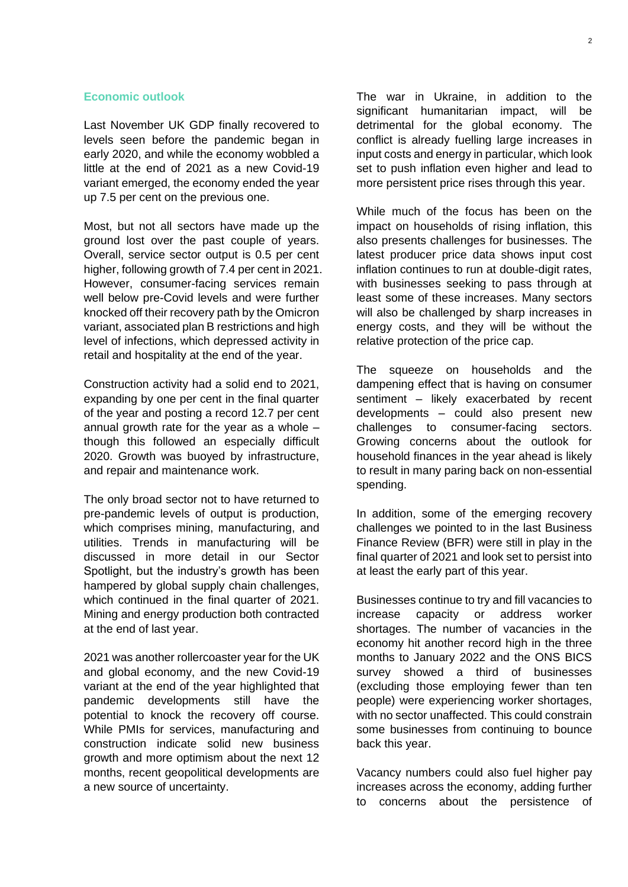#### **Economic outlook**

Last November UK GDP finally recovered to levels seen before the pandemic began in early 2020, and while the economy wobbled a little at the end of 2021 as a new Covid-19 variant emerged, the economy ended the year up 7.5 per cent on the previous one.

Most, but not all sectors have made up the ground lost over the past couple of years. Overall, service sector output is 0.5 per cent higher, following growth of 7.4 per cent in 2021. However, consumer-facing services remain well below pre-Covid levels and were further knocked off their recovery path by the Omicron variant, associated plan B restrictions and high level of infections, which depressed activity in retail and hospitality at the end of the year.

Construction activity had a solid end to 2021, expanding by one per cent in the final quarter of the year and posting a record 12.7 per cent annual growth rate for the year as a whole – though this followed an especially difficult 2020. Growth was buoyed by infrastructure, and repair and maintenance work.

The only broad sector not to have returned to pre-pandemic levels of output is production, which comprises mining, manufacturing, and utilities. Trends in manufacturing will be discussed in more detail in our Sector Spotlight, but the industry's growth has been hampered by global supply chain challenges, which continued in the final quarter of 2021. Mining and energy production both contracted at the end of last year.

2021 was another rollercoaster year for the UK and global economy, and the new Covid-19 variant at the end of the year highlighted that pandemic developments still have the potential to knock the recovery off course. While PMIs for services, manufacturing and construction indicate solid new business growth and more optimism about the next 12 months, recent geopolitical developments are a new source of uncertainty.

The war in Ukraine, in addition to the significant humanitarian impact, will be detrimental for the global economy. The conflict is already fuelling large increases in input costs and energy in particular, which look set to push inflation even higher and lead to more persistent price rises through this year.

While much of the focus has been on the impact on households of rising inflation, this also presents challenges for businesses. The latest producer price data shows input cost inflation continues to run at double-digit rates, with businesses seeking to pass through at least some of these increases. Many sectors will also be challenged by sharp increases in energy costs, and they will be without the relative protection of the price cap.

The squeeze on households and the dampening effect that is having on consumer sentiment – likely exacerbated by recent developments – could also present new challenges to consumer-facing sectors. Growing concerns about the outlook for household finances in the year ahead is likely to result in many paring back on non-essential spending.

In addition, some of the emerging recovery challenges we pointed to in the last Business Finance Review (BFR) were still in play in the final quarter of 2021 and look set to persist into at least the early part of this year.

Businesses continue to try and fill vacancies to increase capacity or address worker shortages. The number of vacancies in the economy hit another record high in the three months to January 2022 and the ONS BICS survey showed a third of businesses (excluding those employing fewer than ten people) were experiencing worker shortages, with no sector unaffected. This could constrain some businesses from continuing to bounce back this year.

Vacancy numbers could also fuel higher pay increases across the economy, adding further to concerns about the persistence of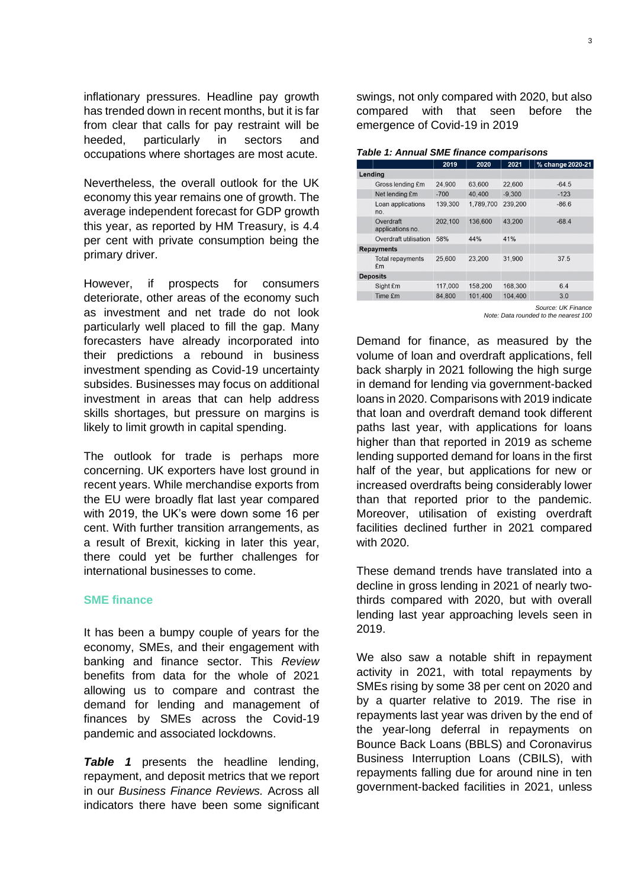inflationary pressures. Headline pay growth has trended down in recent months, but it is far from clear that calls for pay restraint will be heeded, particularly in sectors and occupations where shortages are most acute.

Nevertheless, the overall outlook for the UK economy this year remains one of growth. The average independent forecast for GDP growth this year, as reported by HM Treasury, is 4.4 per cent with private consumption being the primary driver.

However, if prospects for consumers deteriorate, other areas of the economy such as investment and net trade do not look particularly well placed to fill the gap. Many forecasters have already incorporated into their predictions a rebound in business investment spending as Covid-19 uncertainty subsides. Businesses may focus on additional investment in areas that can help address skills shortages, but pressure on margins is likely to limit growth in capital spending.

The outlook for trade is perhaps more concerning. UK exporters have lost ground in recent years. While merchandise exports from the EU were broadly flat last year compared with 2019, the UK's were down some 16 per cent. With further transition arrangements, as a result of Brexit, kicking in later this year, there could yet be further challenges for international businesses to come.

#### **SME finance**

It has been a bumpy couple of years for the economy, SMEs, and their engagement with banking and finance sector. This *Review* benefits from data for the whole of 2021 allowing us to compare and contrast the demand for lending and management of finances by SMEs across the Covid-19 pandemic and associated lockdowns.

**Table 1** presents the headline lending, repayment, and deposit metrics that we report in our *Business Finance Reviews.* Across all indicators there have been some significant swings, not only compared with 2020, but also compared with that seen before the emergence of Covid-19 in 2019

|                               | 2019    | 2020      | 2021     | % change 2020-21 |
|-------------------------------|---------|-----------|----------|------------------|
| Lending                       |         |           |          |                  |
| Gross lending £m              | 24.900  | 63,600    | 22,600   | $-64.5$          |
| Net lending £m                | $-700$  | 40,400    | $-9,300$ | $-123$           |
| Loan applications<br>no.      | 139,300 | 1.789.700 | 239,200  | $-86.6$          |
| Overdraft<br>applications no. | 202,100 | 136,600   | 43,200   | $-68.4$          |
| Overdraft utilisation         | 58%     | 44%       | 41%      |                  |
| <b>Repayments</b>             |         |           |          |                  |
| <b>Total repayments</b><br>£m | 25,600  | 23,200    | 31,900   | 37.5             |
| <b>Deposits</b>               |         |           |          |                  |
| Sight £m                      | 117,000 | 158,200   | 168,300  | 6.4              |
| Time £m                       | 84.800  | 101.400   | 104,400  | 3.0              |

*Source: UK Finance Note: Data rounded to the nearest 100*

Demand for finance, as measured by the volume of loan and overdraft applications, fell back sharply in 2021 following the high surge in demand for lending via government-backed loans in 2020. Comparisons with 2019 indicate that loan and overdraft demand took different paths last year, with applications for loans higher than that reported in 2019 as scheme lending supported demand for loans in the first half of the year, but applications for new or increased overdrafts being considerably lower than that reported prior to the pandemic. Moreover, utilisation of existing overdraft facilities declined further in 2021 compared with 2020.

These demand trends have translated into a decline in gross lending in 2021 of nearly twothirds compared with 2020, but with overall lending last year approaching levels seen in 2019.

We also saw a notable shift in repayment activity in 2021, with total repayments by SMEs rising by some 38 per cent on 2020 and by a quarter relative to 2019. The rise in repayments last year was driven by the end of the year-long deferral in repayments on Bounce Back Loans (BBLS) and Coronavirus Business Interruption Loans (CBILS), with repayments falling due for around nine in ten government-backed facilities in 2021, unless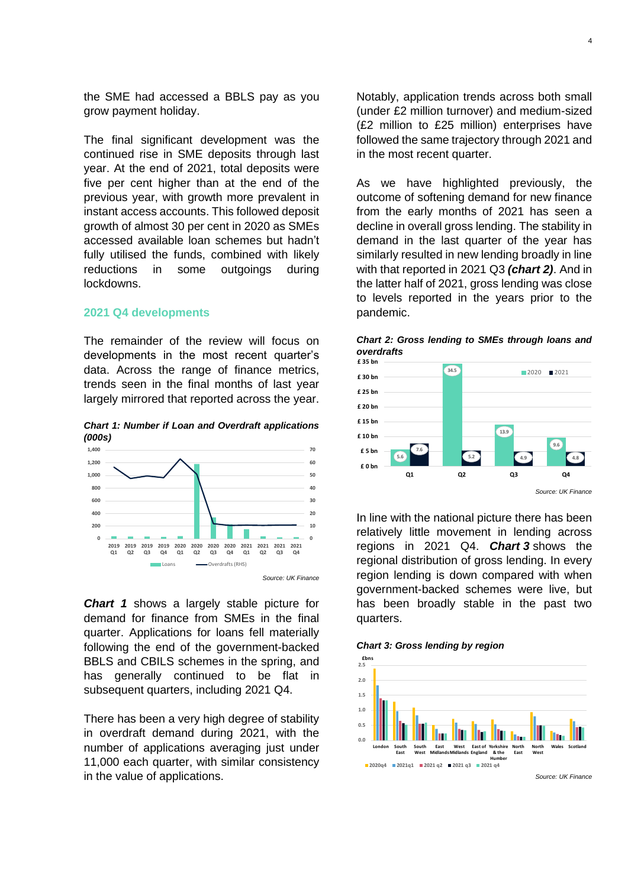the SME had accessed a BBLS pay as you grow payment holiday.

The final significant development was the continued rise in SME deposits through last year. At the end of 2021, total deposits were five per cent higher than at the end of the previous year, with growth more prevalent in instant access accounts. This followed deposit growth of almost 30 per cent in 2020 as SMEs accessed available loan schemes but hadn't fully utilised the funds, combined with likely reductions in some outgoings during lockdowns.

#### **2021 Q4 developments**

The remainder of the review will focus on developments in the most recent quarter's data. Across the range of finance metrics, trends seen in the final months of last year largely mirrored that reported across the year.

*Chart 1: Number if Loan and Overdraft applications (000s)*



*Chart 1* shows a largely stable picture for demand for finance from SMEs in the final quarter. Applications for loans fell materially following the end of the government-backed BBLS and CBILS schemes in the spring, and has generally continued to be flat in subsequent quarters, including 2021 Q4.

There has been a very high degree of stability in overdraft demand during 2021, with the number of applications averaging just under 11,000 each quarter, with similar consistency in the value of applications.

Notably, application trends across both small (under £2 million turnover) and medium-sized (£2 million to £25 million) enterprises have followed the same trajectory through 2021 and in the most recent quarter.

As we have highlighted previously, the outcome of softening demand for new finance from the early months of 2021 has seen a decline in overall gross lending. The stability in demand in the last quarter of the year has similarly resulted in new lending broadly in line with that reported in 2021 Q3 *(chart 2)*. And in the latter half of 2021, gross lending was close to levels reported in the years prior to the pandemic.





In line with the national picture there has been relatively little movement in lending across regions in 2021 Q4. *Chart 3* shows the regional distribution of gross lending. In every region lending is down compared with when government-backed schemes were live, but has been broadly stable in the past two quarters.

*Chart 3: Gross lending by region*

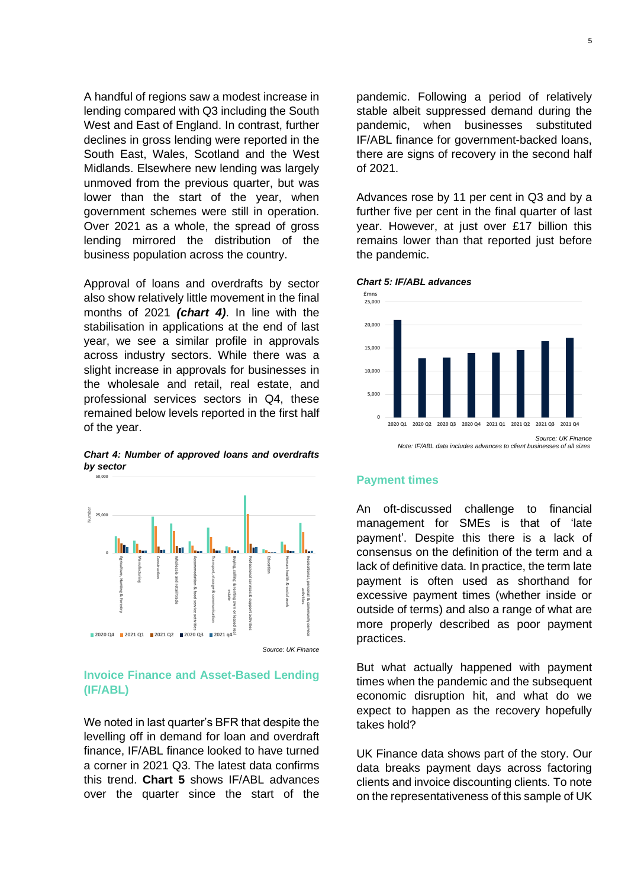A handful of regions saw a modest increase in lending compared with Q3 including the South West and East of England. In contrast, further declines in gross lending were reported in the South East, Wales, Scotland and the West Midlands. Elsewhere new lending was largely unmoved from the previous quarter, but was lower than the start of the year, when government schemes were still in operation. Over 2021 as a whole, the spread of gross lending mirrored the distribution of the business population across the country.

Approval of loans and overdrafts by sector also show relatively little movement in the final months of 2021 *(chart 4)*. In line with the stabilisation in applications at the end of last year, we see a similar profile in approvals across industry sectors. While there was a slight increase in approvals for businesses in the wholesale and retail, real estate, and professional services sectors in Q4, these remained below levels reported in the first half of the year.

*Chart 4: Number of approved loans and overdrafts by sector*



## **Invoice Finance and Asset-Based Lending (IF/ABL)**

We noted in last quarter's BFR that despite the levelling off in demand for loan and overdraft finance, IF/ABL finance looked to have turned a corner in 2021 Q3. The latest data confirms this trend. **Chart 5** shows IF/ABL advances over the quarter since the start of the

pandemic. Following a period of relatively stable albeit suppressed demand during the pandemic, when businesses substituted IF/ABL finance for government-backed loans, there are signs of recovery in the second half of 2021.

Advances rose by 11 per cent in Q3 and by a further five per cent in the final quarter of last year. However, at just over £17 billion this remains lower than that reported just before the pandemic.





#### **Payment times**

An oft-discussed challenge to financial management for SMEs is that of 'late payment'. Despite this there is a lack of consensus on the definition of the term and a lack of definitive data. In practice, the term late payment is often used as shorthand for excessive payment times (whether inside or outside of terms) and also a range of what are more properly described as poor payment practices.

But what actually happened with payment times when the pandemic and the subsequent economic disruption hit, and what do we expect to happen as the recovery hopefully takes hold?

UK Finance data shows part of the story. Our data breaks payment days across factoring clients and invoice discounting clients. To note on the representativeness of this sample of UK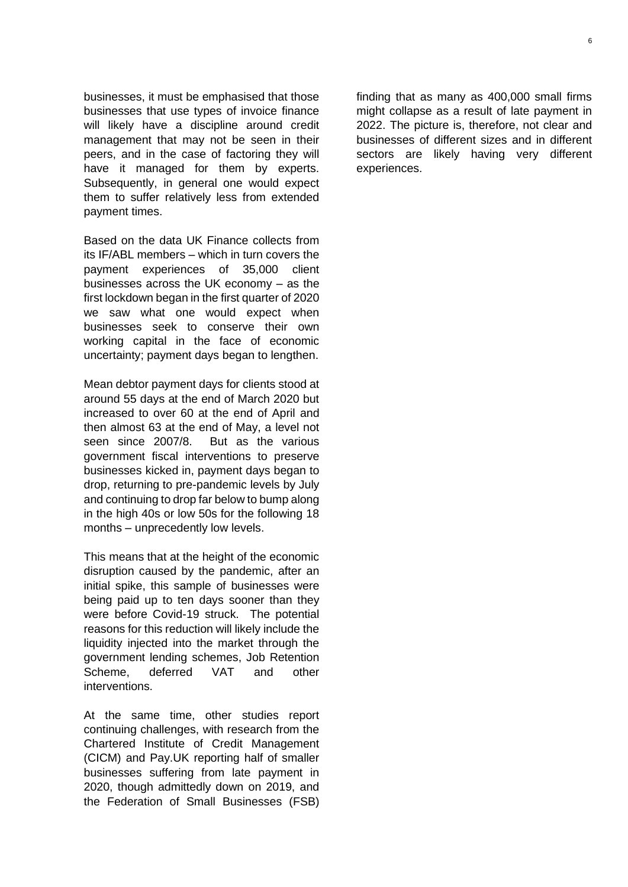businesses, it must be emphasised that those businesses that use types of invoice finance will likely have a discipline around credit management that may not be seen in their peers, and in the case of factoring they will have it managed for them by experts. Subsequently, in general one would expect them to suffer relatively less from extended payment times.

Based on the data UK Finance collects from its IF/ABL members – which in turn covers the payment experiences of 35,000 client businesses across the UK economy – as the first lockdown began in the first quarter of 2020 we saw what one would expect when businesses seek to conserve their own working capital in the face of economic uncertainty; payment days began to lengthen.

Mean debtor payment days for clients stood at around 55 days at the end of March 2020 but increased to over 60 at the end of April and then almost 63 at the end of May, a level not seen since 2007/8. But as the various government fiscal interventions to preserve businesses kicked in, payment days began to drop, returning to pre-pandemic levels by July and continuing to drop far below to bump along in the high 40s or low 50s for the following 18 months – unprecedently low levels.

This means that at the height of the economic disruption caused by the pandemic, after an initial spike, this sample of businesses were being paid up to ten days sooner than they were before Covid-19 struck. The potential reasons for this reduction will likely include the liquidity injected into the market through the government lending schemes, Job Retention Scheme, deferred VAT and other interventions.

At the same time, other studies report continuing challenges, with research from the Chartered Institute of Credit Management (CICM) and Pay.UK reporting half of smaller businesses suffering from late payment in 2020, though admittedly down on 2019, and the Federation of Small Businesses (FSB)

finding that as many as 400,000 small firms might collapse as a result of late payment in 2022. The picture is, therefore, not clear and businesses of different sizes and in different sectors are likely having very different experiences.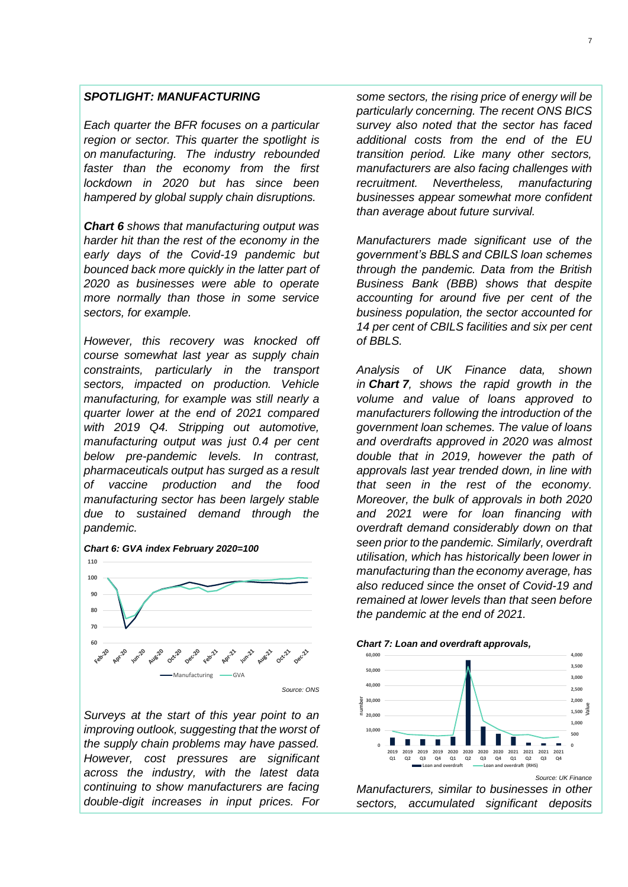#### *SPOTLIGHT: MANUFACTURING*

*Each quarter the BFR focuses on a particular region or sector. This quarter the spotlight is on manufacturing. The industry rebounded faster than the economy from the first lockdown in 2020 but has since been hampered by global supply chain disruptions.* 

*Chart 6 shows that manufacturing output was harder hit than the rest of the economy in the early days of the Covid-19 pandemic but bounced back more quickly in the latter part of 2020 as businesses were able to operate more normally than those in some service sectors, for example.* 

*However, this recovery was knocked off course somewhat last year as supply chain constraints, particularly in the transport sectors, impacted on production. Vehicle manufacturing, for example was still nearly a quarter lower at the end of 2021 compared with 2019 Q4. Stripping out automotive, manufacturing output was just 0.4 per cent below pre-pandemic levels. In contrast, pharmaceuticals output has surged as a result of vaccine production and the food manufacturing sector has been largely stable due to sustained demand through the pandemic.*



*Surveys at the start of this year point to an improving outlook, suggesting that the worst of the supply chain problems may have passed. However, cost pressures are significant across the industry, with the latest data continuing to show manufacturers are facing double-digit increases in input prices. For*  *some sectors, the rising price of energy will be particularly concerning. The recent ONS BICS survey also noted that the sector has faced additional costs from the end of the EU transition period. Like many other sectors, manufacturers are also facing challenges with recruitment. Nevertheless, manufacturing businesses appear somewhat more confident than average about future survival.*

*Manufacturers made significant use of the government's BBLS and CBILS loan schemes through the pandemic. Data from the British Business Bank (BBB) shows that despite accounting for around five per cent of the business population, the sector accounted for 14 per cent of CBILS facilities and six per cent of BBLS.* 

*Analysis of UK Finance data, shown in Chart 7, shows the rapid growth in the volume and value of loans approved to manufacturers following the introduction of the government loan schemes. The value of loans and overdrafts approved in 2020 was almost double that in 2019, however the path of approvals last year trended down, in line with that seen in the rest of the economy. Moreover, the bulk of approvals in both 2020 and 2021 were for loan financing with overdraft demand considerably down on that seen prior to the pandemic. Similarly, overdraft utilisation, which has historically been lower in manufacturing than the economy average, has also reduced since the onset of Covid-19 and remained at lower levels than that seen before the pandemic at the end of 2021.*





*Manufacturers, similar to businesses in other sectors, accumulated significant deposits*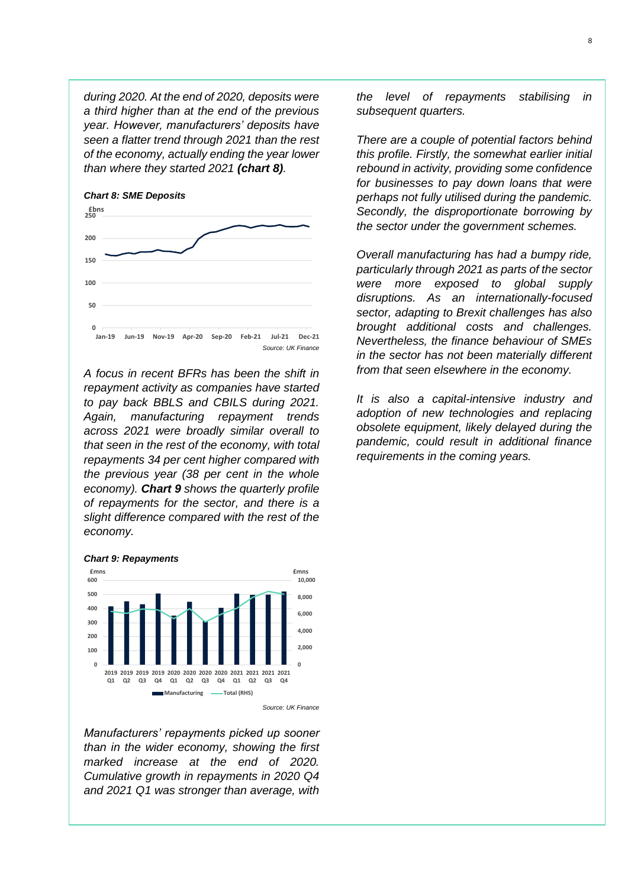*during 2020. At the end of 2020, deposits were a third higher than at the end of the previous year. However, manufacturers' deposits have seen a flatter trend through 2021 than the rest of the economy, actually ending the year lower than where they started 2021 (chart 8).* 



*A focus in recent BFRs has been the shift in repayment activity as companies have started to pay back BBLS and CBILS during 2021. Again, manufacturing repayment trends across 2021 were broadly similar overall to that seen in the rest of the economy, with total repayments 34 per cent higher compared with the previous year (38 per cent in the whole economy). Chart 9 shows the quarterly profile of repayments for the sector, and there is a slight difference compared with the rest of the economy.* 



*Manufacturers' repayments picked up sooner than in the wider economy, showing the first marked increase at the end of 2020. Cumulative growth in repayments in 2020 Q4 and 2021 Q1 was stronger than average, with* 

*the level of repayments stabilising in subsequent quarters.* 

*There are a couple of potential factors behind this profile. Firstly, the somewhat earlier initial rebound in activity, providing some confidence for businesses to pay down loans that were perhaps not fully utilised during the pandemic. Secondly, the disproportionate borrowing by the sector under the government schemes.* 

*Overall manufacturing has had a bumpy ride, particularly through 2021 as parts of the sector were more exposed to global supply disruptions. As an internationally-focused sector, adapting to Brexit challenges has also brought additional costs and challenges. Nevertheless, the finance behaviour of SMEs in the sector has not been materially different from that seen elsewhere in the economy.* 

*It is also a capital-intensive industry and adoption of new technologies and replacing obsolete equipment, likely delayed during the pandemic, could result in additional finance requirements in the coming years.*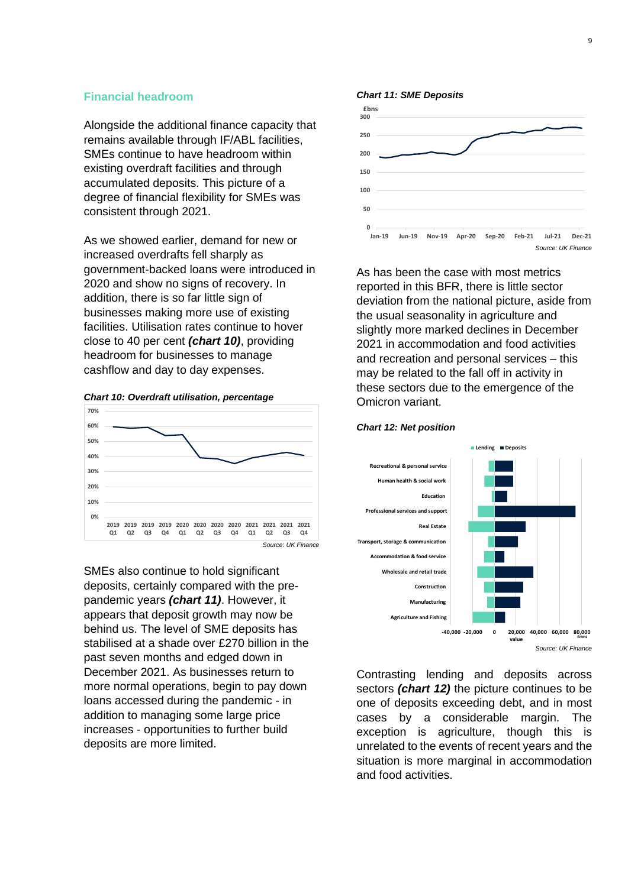#### **Financial headroom**

Alongside the additional finance capacity that remains available through IF/ABL facilities, SMEs continue to have headroom within existing overdraft facilities and through accumulated deposits. This picture of a degree of financial flexibility for SMEs was consistent through 2021.

As we showed earlier, demand for new or increased overdrafts fell sharply as government-backed loans were introduced in 2020 and show no signs of recovery. In addition, there is so far little sign of businesses making more use of existing facilities. Utilisation rates continue to hover close to 40 per cent *(chart 10)*, providing headroom for businesses to manage cashflow and day to day expenses.





SMEs also continue to hold significant deposits, certainly compared with the prepandemic years *(chart 11)*. However, it appears that deposit growth may now be behind us. The level of SME deposits has stabilised at a shade over £270 billion in the past seven months and edged down in December 2021. As businesses return to more normal operations, begin to pay down loans accessed during the pandemic - in addition to managing some large price increases - opportunities to further build deposits are more limited.



As has been the case with most metrics reported in this BFR, there is little sector deviation from the national picture, aside from the usual seasonality in agriculture and slightly more marked declines in December 2021 in accommodation and food activities and recreation and personal services – this may be related to the fall off in activity in these sectors due to the emergence of the Omicron variant.



#### *Chart 12: Net position*

Contrasting lending and deposits across sectors *(chart 12)* the picture continues to be one of deposits exceeding debt, and in most cases by a considerable margin. The exception is agriculture, though this is unrelated to the events of recent years and the situation is more marginal in accommodation and food activities.